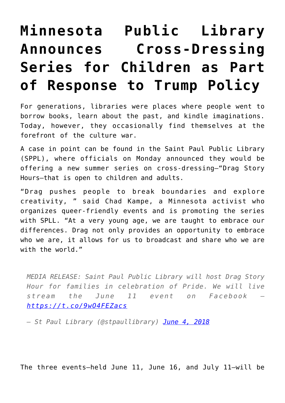## **[Minnesota Public Library](https://intellectualtakeout.org/2018/06/minnesota-public-library-announces-cross-dressing-series-for-children-as-part-of-response-to-trump-policy/) [Announces Cross-Dressing](https://intellectualtakeout.org/2018/06/minnesota-public-library-announces-cross-dressing-series-for-children-as-part-of-response-to-trump-policy/) [Series for Children as Part](https://intellectualtakeout.org/2018/06/minnesota-public-library-announces-cross-dressing-series-for-children-as-part-of-response-to-trump-policy/) [of Response to Trump Policy](https://intellectualtakeout.org/2018/06/minnesota-public-library-announces-cross-dressing-series-for-children-as-part-of-response-to-trump-policy/)**

For generations, libraries were places where people went to borrow books, learn about the past, and kindle imaginations. Today, however, they occasionally find themselves at the forefront of the culture war.

A case in point can be found in the Saint Paul Public Library (SPPL), where officials on Monday announced they would be offering a new summer series on cross-dressing—"Drag Story Hours—that is open to children and adults.

"Drag pushes people to break boundaries and explore creativity, " said Chad Kampe, a Minnesota activist who organizes queer-friendly events and is promoting the series with SPLL. "At a very young age, we are taught to embrace our differences. Drag not only provides an opportunity to embrace who we are, it allows for us to broadcast and share who we are with the world."

*MEDIA RELEASE: Saint Paul Public Library will host Drag Story Hour for families in celebration of Pride. We will live stream the June 11 event on Facebook – <https://t.co/9wO4FEZacs>*

*— St Paul Library (@stpaullibrary) [June 4, 2018](https://twitter.com/stpaullibrary/status/1003607283711037441?ref_src=twsrc%5Etfw)*

The three events—held June 11, June 16, and July 11—will be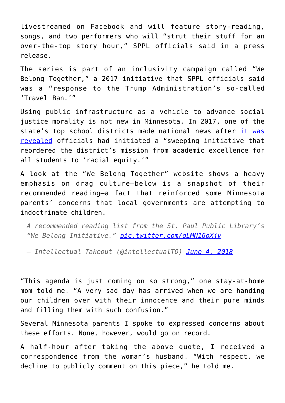livestreamed on Facebook and will feature story-reading, songs, and two performers who will "strut their stuff for an over-the-top story hour," SPPL officials said in a press release.

The series is part of an inclusivity campaign called "We Belong Together," a 2017 initiative that SPPL officials said was a "response to the Trump Administration's so-called 'Travel Ban.'"

Using public infrastructure as a vehicle to advance social justice morality is not new in Minnesota. In 2017, one of the state's top school districts made national news after [it was](https://www.weeklystandard.com/katherine-kersten/inside-a-public-school-social-justice-factory) [revealed](https://www.weeklystandard.com/katherine-kersten/inside-a-public-school-social-justice-factory) officials had initiated a "sweeping initiative that reordered the district's mission from academic excellence for all students to 'racial equity.'"

A look at the "We Belong Together" website shows a heavy emphasis on drag culture—below is a snapshot of their recommended reading—a fact that reinforced some Minnesota parents' concerns that local governments are attempting to indoctrinate children.

*A recommended reading list from the St. Paul Public Library's "We Belong Initiative." [pic.twitter.com/qLMN16oXjv](https://t.co/qLMN16oXjv)*

*— Intellectual Takeout (@intellectualTO) [June 4, 2018](https://twitter.com/intellectualTO/status/1003720255175315456?ref_src=twsrc%5Etfw)*

"This agenda is just coming on so strong," one stay-at-home mom told me. "A very sad day has arrived when we are handing our children over with their innocence and their pure minds and filling them with such confusion."

Several Minnesota parents I spoke to expressed concerns about these efforts. None, however, would go on record.

A half-hour after taking the above quote, I received a correspondence from the woman's husband. "With respect, we decline to publicly comment on this piece," he told me.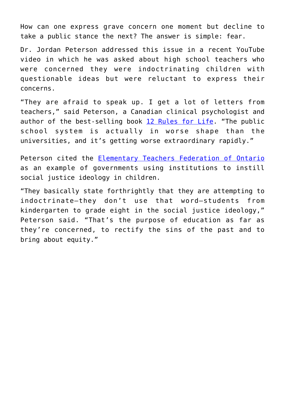How can one express grave concern one moment but decline to take a public stance the next? The answer is simple: fear.

Dr. Jordan Peterson addressed this issue in a recent YouTube video in which he was asked about high school teachers who were concerned they were indoctrinating children with questionable ideas but were reluctant to express their concerns.

"They are afraid to speak up. I get a lot of letters from teachers," said Peterson, a Canadian clinical psychologist and author of the best-selling book [12 Rules for Life.](https://amzn.to/2stZWxA) "The public school system is actually in worse shape than the universities, and it's getting worse extraordinary rapidly."

Peterson cited the [Elementary Teachers Federation of Ontario](http://www.etfo.ca/BuildingAJustSociety/EquityResources/Pages/SocialJustice.aspx) as an example of governments using institutions to instill social justice ideology in children.

"They basically state forthrightly that they are attempting to indoctrinate—they don't use that word—students from kindergarten to grade eight in the social justice ideology," Peterson said. "That's the purpose of education as far as they're concerned, to rectify the sins of the past and to bring about equity."